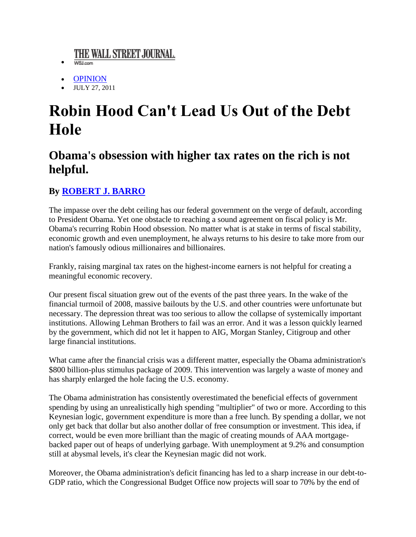## THE WALL STREET JOURNAL.

- $\bullet$ WSJ.com
- [OPINION](http://online.wsj.com/public/search?article-doc-type=%7BCommentary+%28U.S.%29%7D&HEADER_TEXT=commentary+%28u.s.)
- JULY 27, 2011

## **Robin Hood Can't Lead Us Out of the Debt Hole**

## **Obama's obsession with higher tax rates on the rich is not helpful.**

## **By [ROBERT J. BARRO](http://online.wsj.com/search/search_center.html?KEYWORDS=ROBERT+J.+BARRO&ARTICLESEARCHQUERY_PARSER=bylineAND)**

The impasse over the debt ceiling has our federal government on the verge of default, according to President Obama. Yet one obstacle to reaching a sound agreement on fiscal policy is Mr. Obama's recurring Robin Hood obsession. No matter what is at stake in terms of fiscal stability, economic growth and even unemployment, he always returns to his desire to take more from our nation's famously odious millionaires and billionaires.

Frankly, raising marginal tax rates on the highest-income earners is not helpful for creating a meaningful economic recovery.

Our present fiscal situation grew out of the events of the past three years. In the wake of the financial turmoil of 2008, massive bailouts by the U.S. and other countries were unfortunate but necessary. The depression threat was too serious to allow the collapse of systemically important institutions. Allowing Lehman Brothers to fail was an error. And it was a lesson quickly learned by the government, which did not let it happen to AIG, Morgan Stanley, Citigroup and other large financial institutions.

What came after the financial crisis was a different matter, especially the Obama administration's \$800 billion-plus stimulus package of 2009. This intervention was largely a waste of money and has sharply enlarged the hole facing the U.S. economy.

The Obama administration has consistently overestimated the beneficial effects of government spending by using an unrealistically high spending "multiplier" of two or more. According to this Keynesian logic, government expenditure is more than a free lunch. By spending a dollar, we not only get back that dollar but also another dollar of free consumption or investment. This idea, if correct, would be even more brilliant than the magic of creating mounds of AAA mortgagebacked paper out of heaps of underlying garbage. With unemployment at 9.2% and consumption still at abysmal levels, it's clear the Keynesian magic did not work.

Moreover, the Obama administration's deficit financing has led to a sharp increase in our debt-to-GDP ratio, which the Congressional Budget Office now projects will soar to 70% by the end of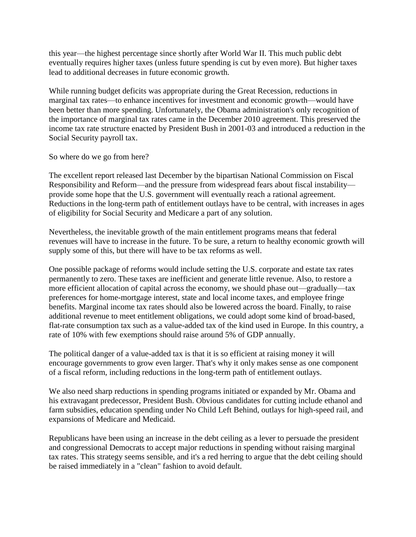this year—the highest percentage since shortly after World War II. This much public debt eventually requires higher taxes (unless future spending is cut by even more). But higher taxes lead to additional decreases in future economic growth.

While running budget deficits was appropriate during the Great Recession, reductions in marginal tax rates—to enhance incentives for investment and economic growth—would have been better than more spending. Unfortunately, the Obama administration's only recognition of the importance of marginal tax rates came in the December 2010 agreement. This preserved the income tax rate structure enacted by President Bush in 2001-03 and introduced a reduction in the Social Security payroll tax.

So where do we go from here?

The excellent report released last December by the bipartisan National Commission on Fiscal Responsibility and Reform—and the pressure from widespread fears about fiscal instability provide some hope that the U.S. government will eventually reach a rational agreement. Reductions in the long-term path of entitlement outlays have to be central, with increases in ages of eligibility for Social Security and Medicare a part of any solution.

Nevertheless, the inevitable growth of the main entitlement programs means that federal revenues will have to increase in the future. To be sure, a return to healthy economic growth will supply some of this, but there will have to be tax reforms as well.

One possible package of reforms would include setting the U.S. corporate and estate tax rates permanently to zero. These taxes are inefficient and generate little revenue. Also, to restore a more efficient allocation of capital across the economy, we should phase out—gradually—tax preferences for home-mortgage interest, state and local income taxes, and employee fringe benefits. Marginal income tax rates should also be lowered across the board. Finally, to raise additional revenue to meet entitlement obligations, we could adopt some kind of broad-based, flat-rate consumption tax such as a value-added tax of the kind used in Europe. In this country, a rate of 10% with few exemptions should raise around 5% of GDP annually.

The political danger of a value-added tax is that it is so efficient at raising money it will encourage governments to grow even larger. That's why it only makes sense as one component of a fiscal reform, including reductions in the long-term path of entitlement outlays.

We also need sharp reductions in spending programs initiated or expanded by Mr. Obama and his extravagant predecessor, President Bush. Obvious candidates for cutting include ethanol and farm subsidies, education spending under No Child Left Behind, outlays for high-speed rail, and expansions of Medicare and Medicaid.

Republicans have been using an increase in the debt ceiling as a lever to persuade the president and congressional Democrats to accept major reductions in spending without raising marginal tax rates. This strategy seems sensible, and it's a red herring to argue that the debt ceiling should be raised immediately in a "clean" fashion to avoid default.